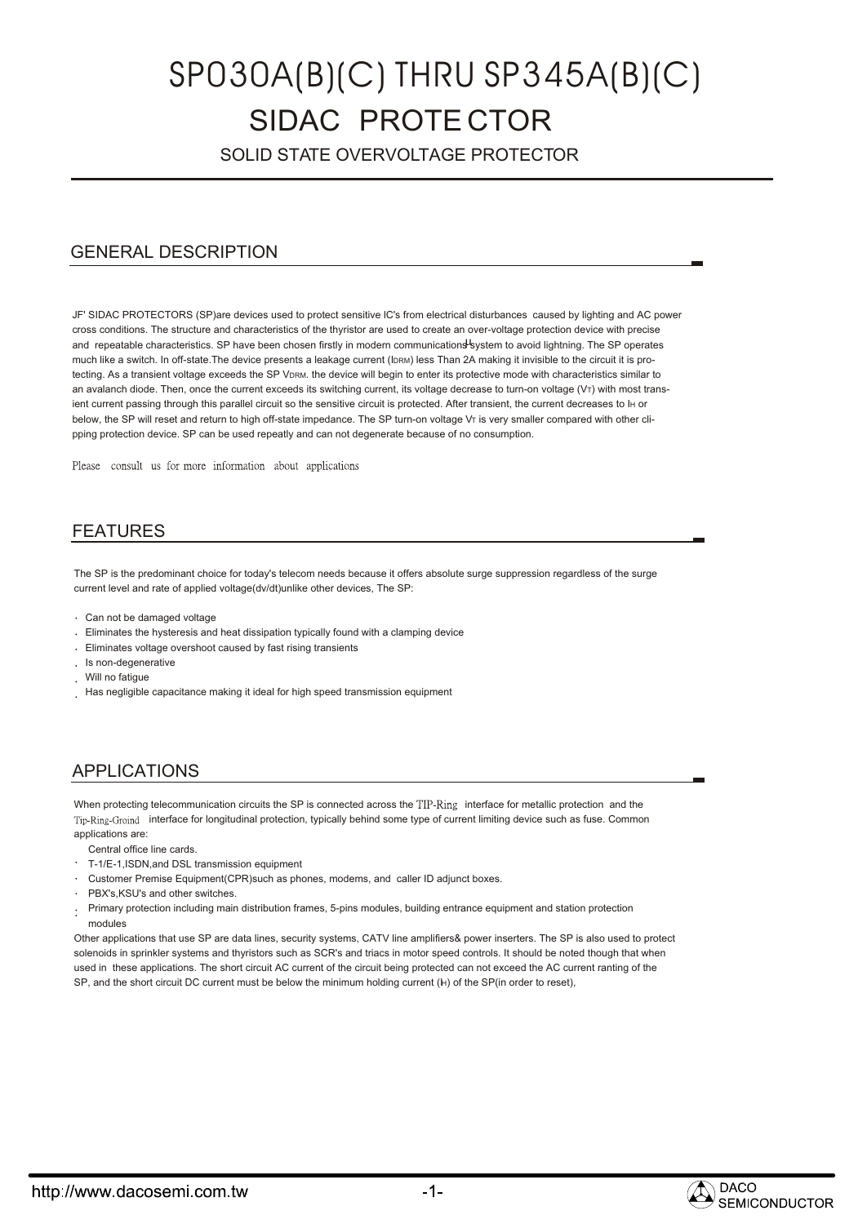# SIDAC PROTE CTOR SP030A(B)(C) THRU SP345A(B)(C)

SOLID STATE OVERVOLTAGE PROTECTOR

# GENERAL DESCRIPTION

JF' SIDAC PROTECTORS (SP)are devices used to protect sensitive lC's from electrical disturbances caused by lighting and AC power cross conditions. The structure and characteristics of the thyristor are used to create an over-voltage protection device with precise and repeatable characteristics. SP have been chosen firstly in modern communications system to avoid lightning. The SP operates much like a switch. In off-state.The device presents a leakage current (IDRM) less Than 2A making it invisible to the circuit it is protecting. As a transient voltage exceeds the SP VDRM. the device will begin to enter its protective mode with characteristics similar to an avalanch diode. Then, once the current exceeds its switching current, its voltage decrease to turn-on voltage ( $V\tau$ ) with most transient current passing through this parallel circuit so the sensitive circuit is protected. After transient, the current decreases to IH or below, the SP will reset and return to high off-state impedance. The SP turn-on voltage VT is very smaller compared with other clipping protection device. SP can be used repeatly and can not degenerate because of no consumption.

Please consult us for more information about applications

## FEATURES

The SP is the predominant choice for today's telecom needs because it offers absolute surge suppression regardless of the surge current level and rate of applied voltage(dv/dt)unlike other devices, The SP:

- Can not be damaged voltage
- Eliminates the hysteresis and heat dissipation typically found with a clamping device
- Eliminates voltage overshoot caused by fast rising transients
- Is non-degenerative
- Will no fatigue
- Has negligible capacitance making it ideal for high speed transmission equipment

## APPLICATIONS

When protecting telecommunication circuits the SP is connected across the TIP-Ring interface for metallic protection and the Tip-Ring-Groind interface for longitudinal protection, typically behind some type of current limiting device such as fuse. Common applications are:

Central office line cards.

- T-1/E-1,ISDN,and DSL transmission equipment
- Customer Premise Equipment(CPR)such as phones, modems, and caller ID adjunct boxes.
- PBX's KSU's and other switches.
- Primary protection including main distribution frames, 5-pins modules, building entrance equipment and station protection modules

Other applications that use SP are data lines, security systems, CATV line amplifiers& power inserters. The SP is also used to protect solenoids in sprinkler systems and thyristors such as SCR's and triacs in motor speed controls. It should be noted though that when used in these applications. The short circuit AC current of the circuit being protected can not exceed the AC current ranting of the SP, and the short circuit DC current must be below the minimum holding current (H) of the SP(in order to reset),

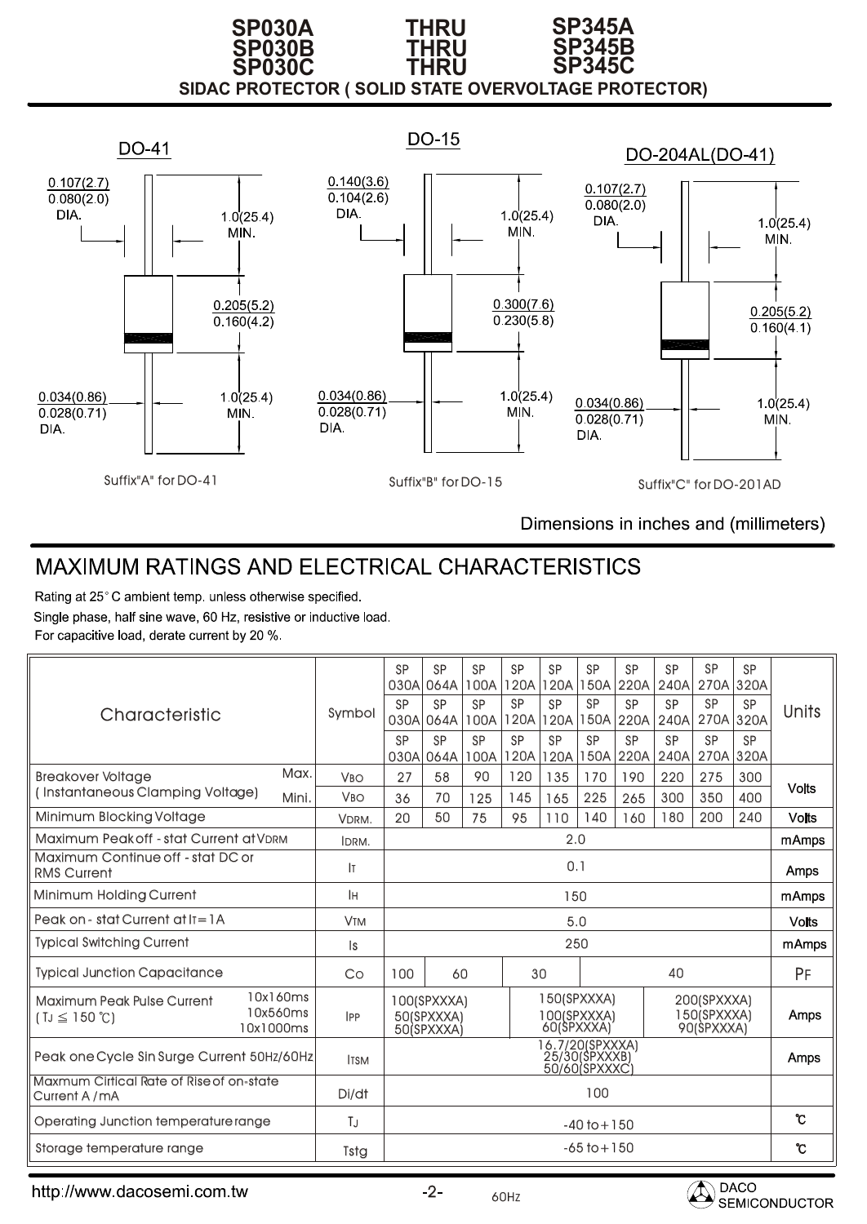### **SIDAC PROTECTOR ( SOLID STATE OVERVOLTAGE PROTECTOR) SP030B THRU SP345B SP030A THRU SP345A SP030C THRU SP345C**



Dimensions in inches and (millimeters)

# MAXIMUM RATINGS AND ELECTRICAL CHARACTERISTICS

Rating at 25°C ambient temp. unless otherwise specified.

Single phase, half sine wave, 60 Hz, resistive or inductive load. For capacitive load, derate current by 20 %.

| Characteristic                                                                                     | Symbol                | <b>SP</b><br><b>SP</b><br>030A<br><b>SP</b><br>030A                                                                             | <b>SP</b><br>030A 064A<br><b>SP</b><br>064A<br><b>SP</b><br>064A | <b>SP</b><br>100A<br><b>SP</b><br>100A<br><b>SP</b><br>100A | <b>SP</b><br>120A<br><b>SP</b><br>120A<br><b>SP</b><br>120A | <b>SP</b><br>120A<br><b>SP</b><br>120A<br><b>SP</b><br>120A | <b>SP</b><br> 150A <br><b>SP</b><br>150A<br><b>SP</b><br>150A | <b>SP</b><br>220A<br><b>SP</b><br>220A<br><b>SP</b><br>220A | <b>SP</b><br>240A<br><b>SP</b><br>240A<br><b>SP</b><br>240A | <b>SP</b><br><b>SP</b><br>270A 320A<br><b>SP</b><br>270A 320A | <b>SP</b><br>270A 320A<br><b>SP</b><br><b>SP</b> | Units        |
|----------------------------------------------------------------------------------------------------|-----------------------|---------------------------------------------------------------------------------------------------------------------------------|------------------------------------------------------------------|-------------------------------------------------------------|-------------------------------------------------------------|-------------------------------------------------------------|---------------------------------------------------------------|-------------------------------------------------------------|-------------------------------------------------------------|---------------------------------------------------------------|--------------------------------------------------|--------------|
| Max.<br><b>Breakover Voltage</b>                                                                   | <b>V<sub>BO</sub></b> | 27                                                                                                                              | 58                                                               | 90                                                          | 120                                                         | 135                                                         | 170                                                           | 190                                                         | 220                                                         | 275                                                           | 300                                              |              |
| (Instantaneous Clamping Voltage)<br>Mini.                                                          | <b>V<sub>BO</sub></b> | 36                                                                                                                              | 70                                                               | 125                                                         | 145                                                         | 165                                                         | 225                                                           | 265                                                         | 300                                                         | 350                                                           | 400                                              | <b>Volts</b> |
| <b>Minimum Blocking Voltage</b>                                                                    | VDRM.                 | 20                                                                                                                              | 50                                                               | 75                                                          | 95                                                          | 110                                                         | 140                                                           | 160                                                         | 180                                                         | 200                                                           | 240                                              | <b>Volts</b> |
| Maximum Peak off - stat Current at VDRM                                                            | IDRM.                 | 2.0                                                                                                                             |                                                                  |                                                             |                                                             |                                                             | mAmps                                                         |                                                             |                                                             |                                                               |                                                  |              |
| Maximum Continue off - stat DC or<br><b>RMS Current</b>                                            | Iт                    | 0.1                                                                                                                             |                                                                  |                                                             |                                                             |                                                             | Amps                                                          |                                                             |                                                             |                                                               |                                                  |              |
| Minimum Holding Current                                                                            | lн                    | 150                                                                                                                             |                                                                  |                                                             |                                                             |                                                             |                                                               | mAmps                                                       |                                                             |                                                               |                                                  |              |
| Peak on - stat Current at $I = IA$                                                                 | <b>V<sub>TM</sub></b> | 5.0                                                                                                                             |                                                                  |                                                             |                                                             |                                                             |                                                               | <b>Volts</b>                                                |                                                             |                                                               |                                                  |              |
| <b>Typical Switching Current</b>                                                                   | ls.                   | 250                                                                                                                             |                                                                  |                                                             |                                                             |                                                             | mAmps                                                         |                                                             |                                                             |                                                               |                                                  |              |
| <b>Typical Junction Capacitance</b>                                                                | Co                    | 100                                                                                                                             | 60                                                               |                                                             |                                                             | 30                                                          |                                                               |                                                             | 40                                                          |                                                               |                                                  | PF           |
| 10x160ms<br><b>Maximum Peak Pulse Current</b><br>10x560ms<br>$(TJ \leq 150^{\circ}C)$<br>10x1000ms | <b>IPP</b>            | 150(SPXXXA)<br>200(SPXXXA)<br>100(SPXXXA)<br>150(SPXXXA)<br>100(SPXXXA)<br>50(SPXXXA)<br>60(SPXXXA)<br>90(SPXXXA)<br>50(SPXXXA) |                                                                  |                                                             |                                                             | Amps                                                        |                                                               |                                                             |                                                             |                                                               |                                                  |              |
| Peak one Cycle Sin Surge Current 50Hz/60Hz                                                         | <b>ITSM</b>           | 16.7/20(SPXXXA)<br>25/30(\$PXXXB)<br>50/60 SPXXXC                                                                               |                                                                  |                                                             |                                                             |                                                             | Amps                                                          |                                                             |                                                             |                                                               |                                                  |              |
| Maxmum Cirtical Rate of Rise of on-state<br>Current A/mA                                           | Di/dt                 | 100                                                                                                                             |                                                                  |                                                             |                                                             |                                                             |                                                               |                                                             |                                                             |                                                               |                                                  |              |
| Operating Junction temperature range                                                               | ТJ                    | $-40$ to $+150$                                                                                                                 |                                                                  |                                                             |                                                             | ົເ                                                          |                                                               |                                                             |                                                             |                                                               |                                                  |              |
| Storage temperature range                                                                          | Tstg                  | $-65$ to $+150$                                                                                                                 |                                                                  |                                                             | ℃                                                           |                                                             |                                                               |                                                             |                                                             |                                                               |                                                  |              |

http://www.dacosemi.com.tw

60HZ

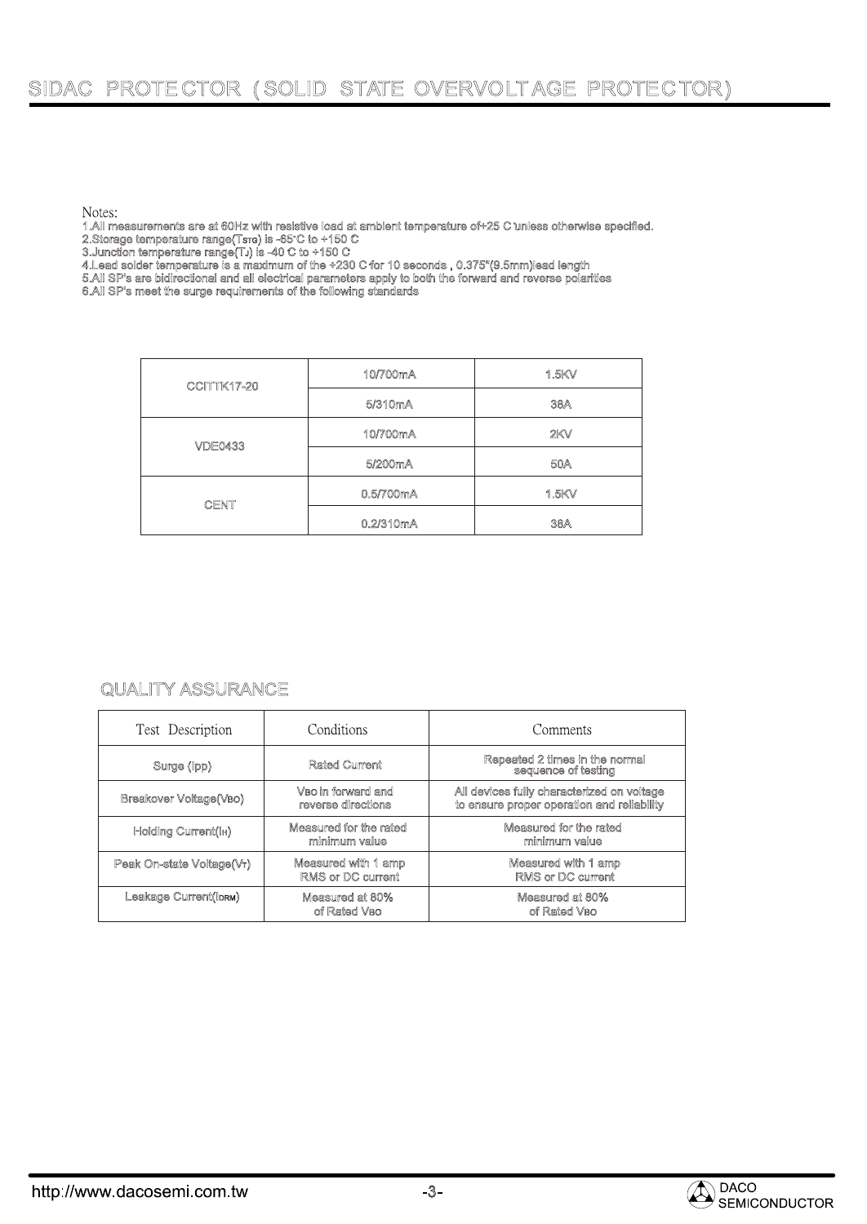# SIDAC PROTE CTOR ( SOLID STATE OVERVOLTAGE PROTECTOR)

Notes:

1.All measurements are at 60Hz with resistive load at ambient temperature of+25 C unless otherwise specified.

2.Storage temperature range(Tsrc) is -65°C to +150 C

3.Junction temperature range(TJ) is -40 C to +150 C

4.Lead solder temperature is a maximum of the +230 C for 10 seconds , 0.375"(9.5mm)lead length

5.All SP's are bidirectional and all electrical parameters apply to both the forward and reverse polarities

6.All SP's meet the surge requirements of the following standards

| <b>CCITTK17-20</b> | 10/700mA             | 1.5KV |  |  |  |
|--------------------|----------------------|-------|--|--|--|
|                    | 5/310 <sub>m</sub> A | 38A   |  |  |  |
| <b>VDE0433</b>     | 10/700mA             | 2KV   |  |  |  |
|                    | 5/200mA              | 50A   |  |  |  |
| <b>CENT</b>        | 0.5/700mA            | 1.5KV |  |  |  |
|                    | 0.2/310mA            | 38A   |  |  |  |

## QUALITY ASSURANCE

| Test Description          | Conditions                                      | Comments                                                                                 |  |  |  |  |
|---------------------------|-------------------------------------------------|------------------------------------------------------------------------------------------|--|--|--|--|
| Surge (Ipp)               | <b>Rated Current</b>                            | Repeated 2 times in the normal<br>sequence of testing                                    |  |  |  |  |
| Breakover Voltage(VBO)    | VBo in forward and<br>reverse directions        | All devices fully characterized on voltage<br>to ensure proper operation and reliability |  |  |  |  |
| Holding Current(IH)       | Measured for the rated<br>minimum value         | Measured for the rated<br>minimum value                                                  |  |  |  |  |
| Peak On-state Voltage(Vr) | Measured with 1 amp<br><b>RMS or DC current</b> | Measured with 1 amp<br><b>RMS or DC current</b>                                          |  |  |  |  |
| Leakage Current(IDRM)     | Measured at 80%<br>of Rated VBO                 | Measured at 80%<br>of Rated VBO                                                          |  |  |  |  |

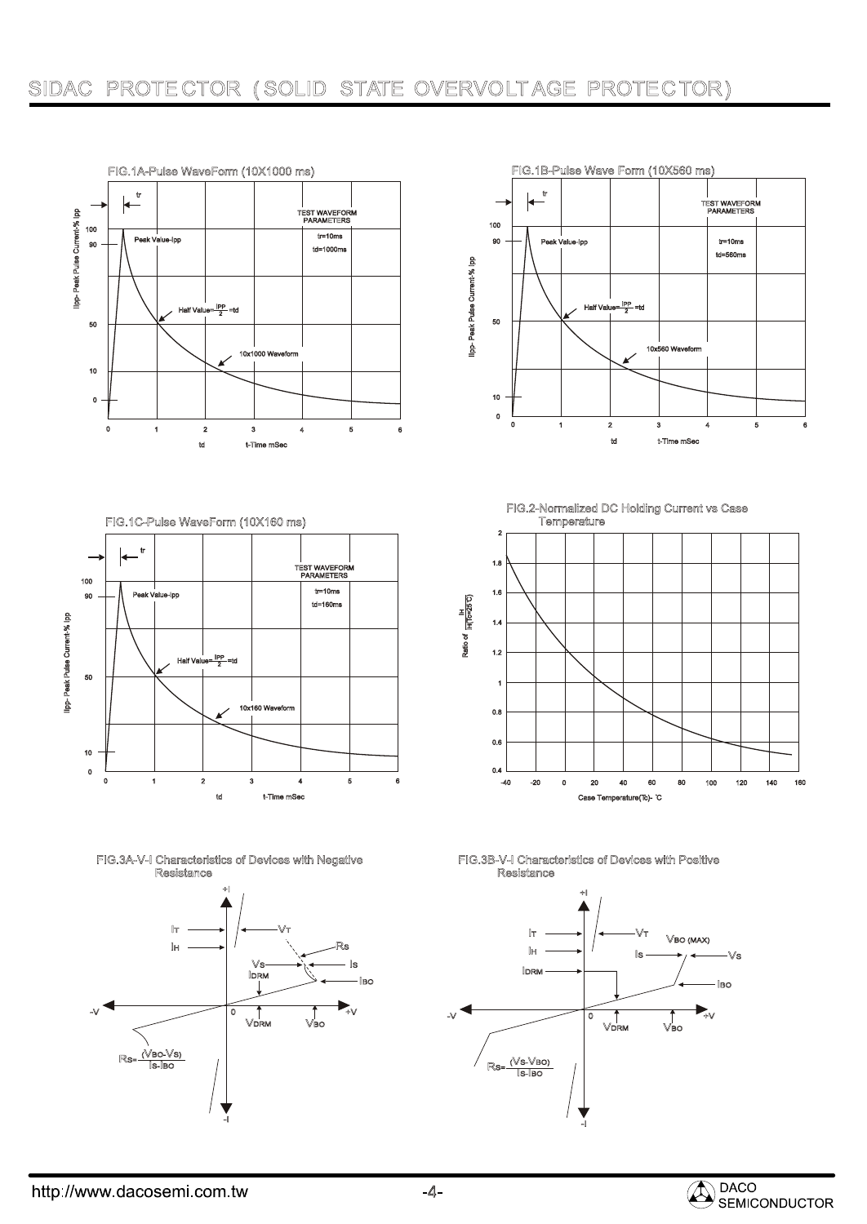# SIDAC PROTE CTOR ( SOLID STATE OVERVOLTAGE PROTECTOR)







-I

-I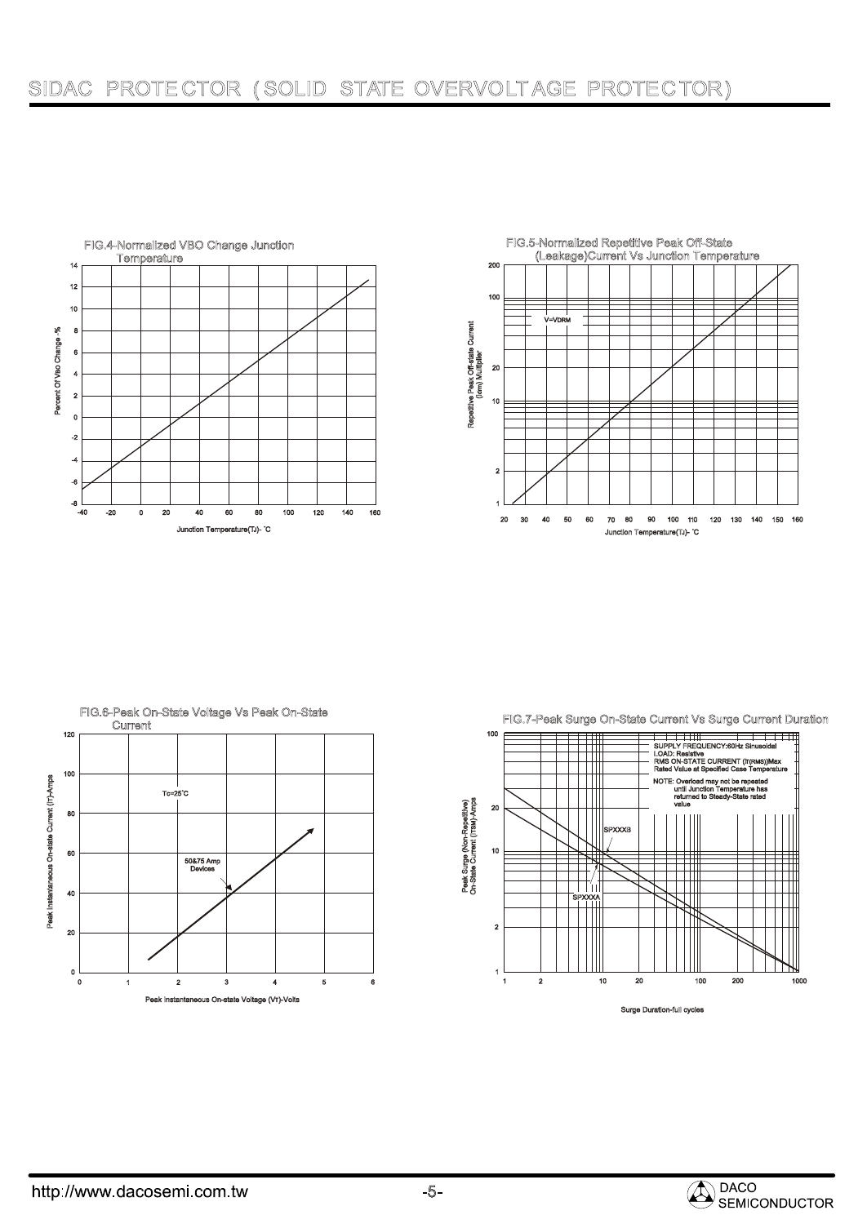



FIG.6-Peak On-State Voltage Vs Peak On-State 120 100 Peak Instantaneous On-state Current (IT)-Amps Peak Instantaneous On-state Current (IT)-Amps Tc=25 C 80 60 50&75 Amp Devices 40 20  $0\frac{L}{0}$ 0 1 2 3 4 5 6 Peak Instantaneous On-state Voltage (VT)-Volts





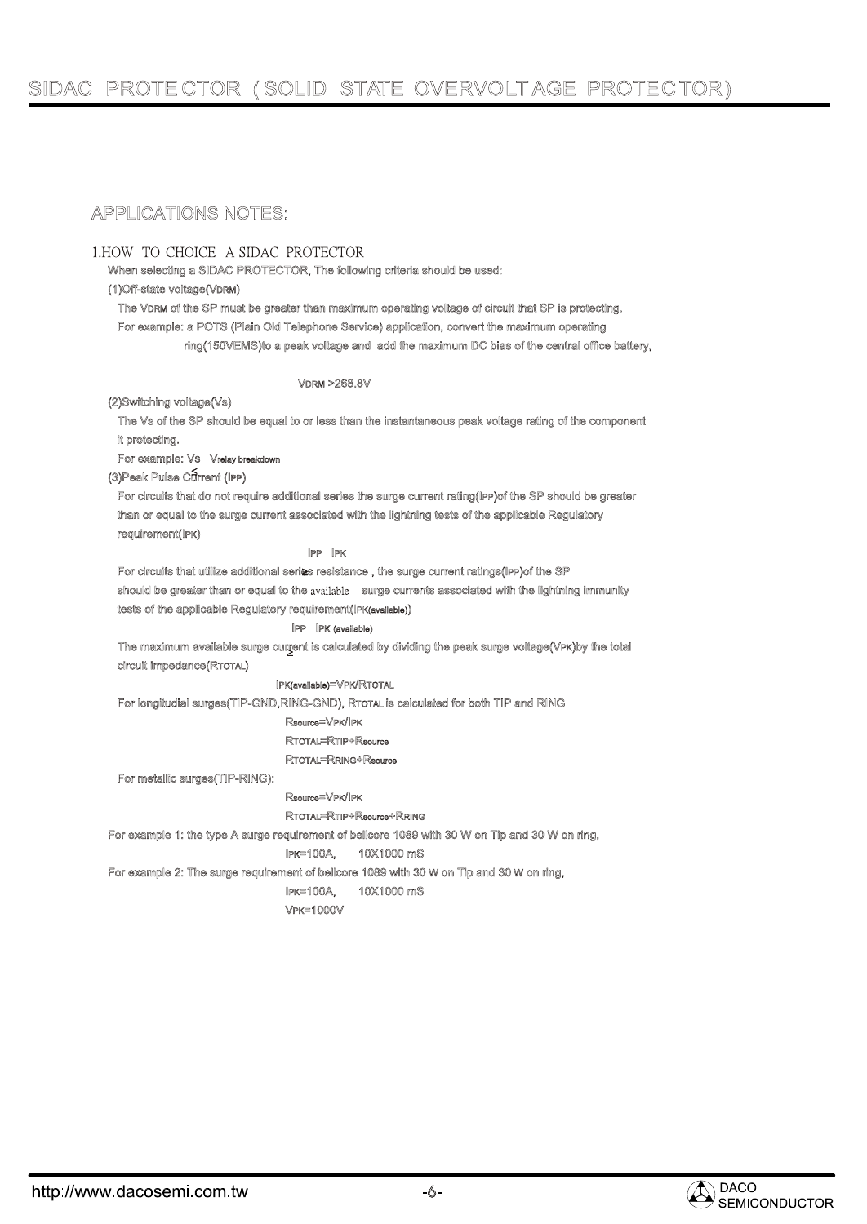# SIDAC PROTE CTOR ( SOLID STATE OVERVOLTAGE PROTECTOR)

# APPLICATIONS NOTES:

#### 1. HOW TO CHOICE A SIDAC PROTECTOR

When selecting a SIDAC PROTECTOR, The following criteria should be used:

#### (1)Off-state voltage(VDRM)

The VDRM of the SP must be greater than maximum operating voltage of circuit that SP is protecting. For example: a POTS (Plain Old Telephone Service) application, convert the maximum operating ring(150VEMS)to a peak voltage and add the maximum DC bias of the central office battery,

#### VDRM >268.8V

(2)Switching voltage(Vs)

 The Vs of the SP should be equal to or less than the instantaneous peak voltage rating of the component it protecting.

For example: VS Vrelay breakdown

(3) Peak Pulse Current (IPP)

For circuits that do not require additional series the surge current rating(IPP)of the SP should be greater than or equal to the surge current associated with the lightning tests of the applicable Regulatory requirement(IPK)

#### IPP IPK

 For circuits that utilize additional series resistance , the surge current ratings(IPP)of the SP should be greater than or equal to the available surge currents associated with the lightning immunity tests of the applicable Regulatory requirement(IPK(available))

#### IPP IPK (available)

The maximum available surge current is calculated by dividing the peak surge voltage(VPK)by the total circuit impedance(RTOTAL)

#### IPK(available)=VPK/RTOTAL

For longitudial surges(TIP-GND,RING-GND), RTOTAL is calculated for both TIP and RING

#### Rsource=VPK/IPK

RTOTAL=RTIP+Rsource

#### RTOTAL=RRING+Rsource

For metallic surges(TIP-RING):

#### Rsource=VPK/IPK

RTOTAL=RTIP+Rsource+RRING

For example 1: the type A surge requirement of bellcore 1089 with 30 W on Tip and 30 W on ring,

#### IPK=100A, 10X1000 mS

For example 2: The surge requirement of bellcore 1089 with 30 W on Tip and 30 W on ring,

# IPK=100A, 10X1000 mS

VPK=1000V